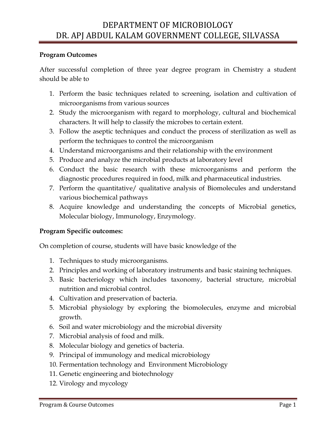## **Program Outcomes**

After successful completion of three year degree program in Chemistry a student should be able to

- 1. Perform the basic techniques related to screening, isolation and cultivation of microorganisms from various sources
- 2. Study the microorganism with regard to morphology, cultural and biochemical characters. It will help to classify the microbes to certain extent.
- 3. Follow the aseptic techniques and conduct the process of sterilization as well as perform the techniques to control the microorganism
- 4. Understand microorganisms and their relationship with the environment
- 5. Produce and analyze the microbial products at laboratory level
- 6. Conduct the basic research with these microorganisms and perform the diagnostic procedures required in food, milk and pharmaceutical industries.
- 7. Perform the quantitative/ qualitative analysis of Biomolecules and understand various biochemical pathways
- 8. Acquire knowledge and understanding the concepts of Microbial genetics, Molecular biology, Immunology, Enzymology.

## **Program Specific outcomes:**

On completion of course, students will have basic knowledge of the

- 1. Techniques to study microorganisms.
- 2. Principles and working of laboratory instruments and basic staining techniques.
- 3. Basic bacteriology which includes taxonomy, bacterial structure, microbial nutrition and microbial control.
- 4. Cultivation and preservation of bacteria.
- 5. Microbial physiology by exploring the biomolecules, enzyme and microbial growth.
- 6. Soil and water microbiology and the microbial diversity
- 7. Microbial analysis of food and milk.
- 8. Molecular biology and genetics of bacteria.
- 9. Principal of immunology and medical microbiology
- 10. Fermentation technology and Environment Microbiology
- 11. Genetic engineering and biotechnology
- 12. Virology and mycology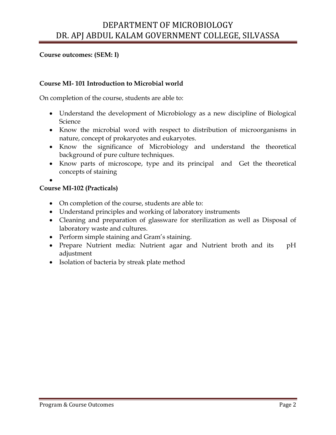**Course outcomes: (SEM: I)**

### **Course MI- 101 Introduction to Microbial world**

On completion of the course, students are able to:

- Understand the development of Microbiology as a new discipline of Biological Science
- Know the microbial word with respect to distribution of microorganisms in nature, concept of prokaryotes and eukaryotes.
- Know the significance of Microbiology and understand the theoretical background of pure culture techniques.
- Know parts of microscope, type and its principal and Get the theoretical concepts of staining

 $\bullet$ 

#### **Course MI-102 (Practicals)**

- On completion of the course, students are able to:
- Understand principles and working of laboratory instruments
- Cleaning and preparation of glassware for sterilization as well as Disposal of laboratory waste and cultures.
- Perform simple staining and Gram's staining.
- Prepare Nutrient media: Nutrient agar and Nutrient broth and its pH adjustment
- Isolation of bacteria by streak plate method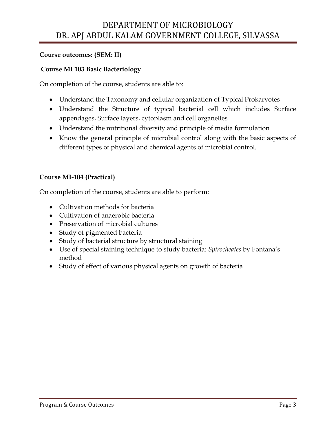## **Course outcomes: (SEM: II)**

### **Course MI 103 Basic Bacteriology**

On completion of the course, students are able to:

- Understand the Taxonomy and cellular organization of Typical Prokaryotes
- Understand the Structure of typical bacterial cell which includes Surface appendages, Surface layers, cytoplasm and cell organelles
- Understand the nutritional diversity and principle of media formulation
- Know the general principle of microbial control along with the basic aspects of different types of physical and chemical agents of microbial control.

### **Course MI-104 (Practical)**

- Cultivation methods for bacteria
- Cultivation of anaerobic bacteria
- Preservation of microbial cultures
- Study of pigmented bacteria
- Study of bacterial structure by structural staining
- Use of special staining technique to study bacteria: *Spirocheates* by Fontana's method
- Study of effect of various physical agents on growth of bacteria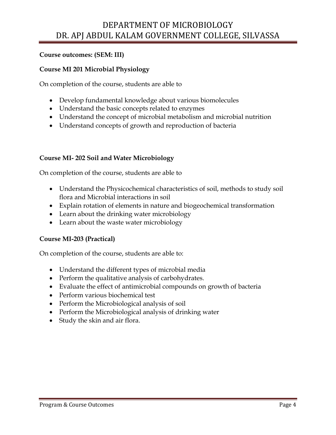## **Course outcomes: (SEM: III)**

### **Course MI 201 Microbial Physiology**

On completion of the course, students are able to

- Develop fundamental knowledge about various biomolecules
- Understand the basic concepts related to enzymes
- Understand the concept of microbial metabolism and microbial nutrition
- Understand concepts of growth and reproduction of bacteria

#### **Course MI- 202 Soil and Water Microbiology**

On completion of the course, students are able to

- Understand the Physicochemical characteristics of soil, methods to study soil flora and Microbial interactions in soil
- Explain rotation of elements in nature and biogeochemical transformation
- Learn about the drinking water microbiology
- Learn about the waste water microbiology

#### **Course MI-203 (Practical)**

- Understand the different types of microbial media
- Perform the qualitative analysis of carbohydrates.
- Evaluate the effect of antimicrobial compounds on growth of bacteria
- Perform various biochemical test
- Perform the Microbiological analysis of soil
- Perform the Microbiological analysis of drinking water
- Study the skin and air flora.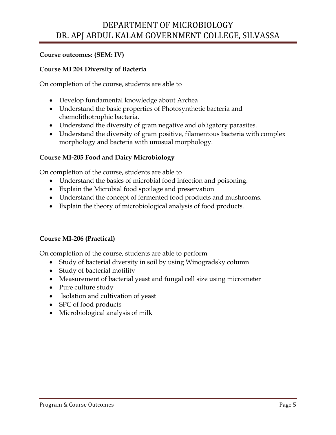## **Course outcomes: (SEM: IV)**

### **Course MI 204 Diversity of Bacteria**

On completion of the course, students are able to

- Develop fundamental knowledge about Archea
- Understand the basic properties of Photosynthetic bacteria and chemolithotrophic bacteria.
- Understand the diversity of gram negative and obligatory parasites.
- Understand the diversity of gram positive, filamentous bacteria with complex morphology and bacteria with unusual morphology.

#### **Course MI-205 Food and Dairy Microbiology**

On completion of the course, students are able to

- Understand the basics of microbial food infection and poisoning.
- Explain the Microbial food spoilage and preservation
- Understand the concept of fermented food products and mushrooms.
- Explain the theory of microbiological analysis of food products.

#### **Course MI-206 (Practical)**

- Study of bacterial diversity in soil by using Winogradsky column
- Study of bacterial motility
- Measurement of bacterial yeast and fungal cell size using micrometer
- Pure culture study
- Isolation and cultivation of yeast
- SPC of food products
- Microbiological analysis of milk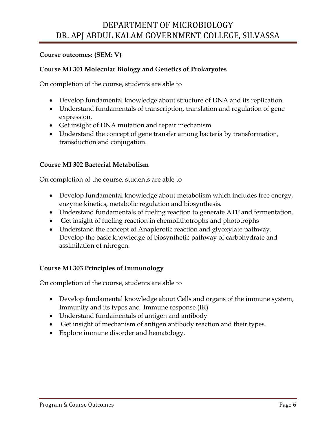### **Course outcomes: (SEM: V)**

### **Course MI 301 Molecular Biology and Genetics of Prokaryotes**

On completion of the course, students are able to

- Develop fundamental knowledge about structure of DNA and its replication.
- Understand fundamentals of transcription, translation and regulation of gene expression.
- Get insight of DNA mutation and repair mechanism.
- Understand the concept of gene transfer among bacteria by transformation, transduction and conjugation.

#### **Course MI 302 Bacterial Metabolism**

On completion of the course, students are able to

- Develop fundamental knowledge about metabolism which includes free energy, enzyme kinetics, metabolic regulation and biosynthesis.
- Understand fundamentals of fueling reaction to generate ATP and fermentation.
- Get insight of fueling reaction in chemolithotrophs and phototrophs
- Understand the concept of Anaplerotic reaction and glyoxylate pathway. Develop the basic knowledge of biosynthetic pathway of carbohydrate and assimilation of nitrogen.

#### **Course MI 303 Principles of Immunology**

- Develop fundamental knowledge about Cells and organs of the immune system, Immunity and its types and Immune response (IR)
- Understand fundamentals of antigen and antibody
- Get insight of mechanism of antigen antibody reaction and their types.
- Explore immune disorder and hematology.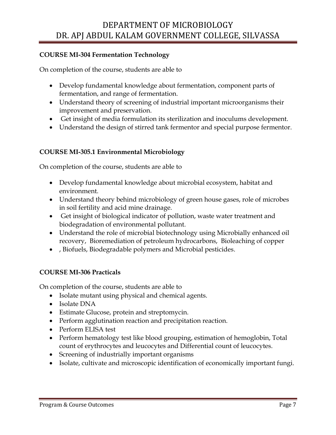## **COURSE MI-304 Fermentation Technology**

On completion of the course, students are able to

- Develop fundamental knowledge about fermentation, component parts of fermentation, and range of fermentation.
- Understand theory of screening of industrial important microorganisms their improvement and preservation.
- Get insight of media formulation its sterilization and inoculums development.
- Understand the design of stirred tank fermentor and special purpose fermentor.

### **COURSE MI-305.1 Environmental Microbiology**

On completion of the course, students are able to

- Develop fundamental knowledge about microbial ecosystem, habitat and environment.
- Understand theory behind microbiology of green house gases, role of microbes in soil fertility and acid mine drainage.
- Get insight of biological indicator of pollution, waste water treatment and biodegradation of environmental pollutant.
- Understand the role of microbial biotechnology using Microbially enhanced oil recovery, Bioremediation of petroleum hydrocarbons, Bioleaching of copper
- , Biofuels, Biodegradable polymers and Microbial pesticides.

## **COURSE MI-306 Practicals**

- Isolate mutant using physical and chemical agents.
- Isolate DNA
- Estimate Glucose, protein and streptomycin.
- Perform agglutination reaction and precipitation reaction.
- Perform ELISA test
- Perform hematology test like blood grouping, estimation of hemoglobin, Total count of erythrocytes and leucocytes and Differential count of leucocytes.
- Screening of industrially important organisms
- Isolate, cultivate and microscopic identification of economically important fungi.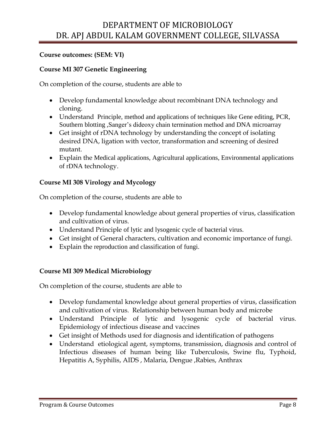## **Course outcomes: (SEM: VI)**

## **Course MI 307 Genetic Engineering**

On completion of the course, students are able to

- Develop fundamental knowledge about recombinant DNA technology and cloning.
- Understand Principle, method and applications of techniques like Gene editing, PCR, Southern blotting ,Sanger's dideoxy chain termination method and DNA microarray
- Get insight of rDNA technology by understanding the concept of isolating desired DNA, ligation with vector, transformation and screening of desired mutant.
- Explain the Medical applications, Agricultural applications, Environmental applications of rDNA technology.

## **Course MI 308 Virology and Mycology**

On completion of the course, students are able to

- Develop fundamental knowledge about general properties of virus, classification and cultivation of virus.
- Understand Principle of lytic and lysogenic cycle of bacterial virus.
- Get insight of General characters, cultivation and economic importance of fungi.
- Explain the reproduction and classification of fungi.

## **Course MI 309 Medical Microbiology**

- Develop fundamental knowledge about general properties of virus, classification and cultivation of virus. Relationship between human body and microbe
- Understand Principle of lytic and lysogenic cycle of bacterial virus. Epidemiology of infectious disease and vaccines
- Get insight of Methods used for diagnosis and identification of pathogens
- Understand etiological agent, symptoms, transmission, diagnosis and control of Infectious diseases of human being like Tuberculosis, Swine flu, Typhoid, Hepatitis A, Syphilis, AIDS , Malaria, Dengue ,Rabies, Anthrax